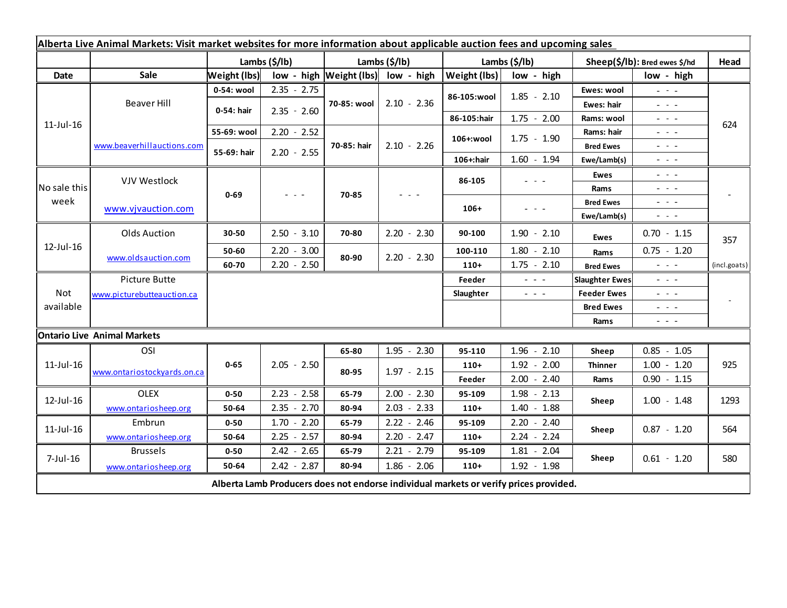| Alberta Live Animal Markets: Visit market websites for more information about applicable auction fees and upcoming sales |                             |               |               |                             |               |               |                                                           |                               |                                                                                                                           |              |
|--------------------------------------------------------------------------------------------------------------------------|-----------------------------|---------------|---------------|-----------------------------|---------------|---------------|-----------------------------------------------------------|-------------------------------|---------------------------------------------------------------------------------------------------------------------------|--------------|
|                                                                                                                          |                             | Lambs (\$/lb) |               | Lambs (\$/lb)               |               | Lambs (\$/lb) |                                                           | Sheep(\$/lb): Bred ewes \$/hd |                                                                                                                           | Head         |
| Date                                                                                                                     | Sale                        | Weight (lbs)  |               | $low - high$   Weight (lbs) | low - high    | Weight (lbs)  | low - high                                                |                               | low - high                                                                                                                |              |
| $11$ -Jul- $16$                                                                                                          | Beaver Hill                 | 0-54: wool    | $2.35 - 2.75$ | 70-85: wool                 | $2.10 - 2.36$ | 86-105:wool   | $1.85 - 2.10$                                             | Ewes: wool                    | $\frac{1}{2} \left( \frac{1}{2} \right) \left( \frac{1}{2} \right) \left( \frac{1}{2} \right) \left( \frac{1}{2} \right)$ | 624          |
|                                                                                                                          |                             | 0-54: hair    | $2.35 - 2.60$ |                             |               |               |                                                           | Ewes: hair                    | $\omega_{\rm{eff}}=0.1$                                                                                                   |              |
|                                                                                                                          |                             |               |               |                             |               | 86-105:hair   | $1.75 - 2.00$                                             | Rams: wool                    | $\omega_{\rm{eff}}$ , $\omega_{\rm{eff}}$ , $\omega_{\rm{eff}}$                                                           |              |
|                                                                                                                          | www.beaverhillauctions.com  | 55-69: wool   | $2.20 - 2.52$ | 70-85: hair                 | $2.10 - 2.26$ | 106+:wool     | $1.75 - 1.90$                                             | Rams: hair                    | $\omega_{\rm{eff}}$ , $\omega_{\rm{eff}}$ , $\omega_{\rm{eff}}$                                                           |              |
|                                                                                                                          |                             | 55-69: hair   | $2.20 - 2.55$ |                             |               |               |                                                           | <b>Bred Ewes</b>              | $\omega_{\rm{eff}}$ and $\omega_{\rm{eff}}$                                                                               |              |
|                                                                                                                          |                             |               |               |                             |               | $106+$ : hair | $1.60 - 1.94$                                             | Ewe/Lamb(s)                   | $\frac{1}{2} \left( \frac{1}{2} \right) \left( \frac{1}{2} \right) \left( \frac{1}{2} \right)$                            |              |
| No sale this<br>week                                                                                                     | <b>VJV Westlock</b>         | $0 - 69$      |               | 70-85                       |               | 86-105        | $  -$                                                     | Ewes                          | $\omega_{\rm{eff}}$ , $\omega_{\rm{eff}}$ , $\omega_{\rm{eff}}$                                                           |              |
|                                                                                                                          |                             |               |               |                             |               |               |                                                           | Rams                          | $  -$                                                                                                                     |              |
|                                                                                                                          | www.vjvauction.com          |               |               |                             |               | $106+$        | - - -                                                     | <b>Bred Ewes</b>              | $\frac{1}{2} \left( \frac{1}{2} \right) = \frac{1}{2} \left( \frac{1}{2} \right)$                                         |              |
|                                                                                                                          |                             |               |               |                             |               |               |                                                           | Ewe/Lamb(s)                   | $\frac{1}{2} \left( \frac{1}{2} \right) \left( \frac{1}{2} \right) \left( \frac{1}{2} \right) \left( \frac{1}{2} \right)$ |              |
| $12$ -Jul-16                                                                                                             | <b>Olds Auction</b>         | 30-50         | $2.50 - 3.10$ | 70-80                       | $2.20 - 2.30$ | 90-100        | $1.90 - 2.10$                                             | <b>Ewes</b>                   | $0.70 - 1.15$                                                                                                             | 357          |
|                                                                                                                          | www.oldsauction.com         | 50-60         | $2.20 - 3.00$ | 80-90                       | $2.20 - 2.30$ | 100-110       | $1.80 - 2.10$                                             | Rams                          | $0.75 - 1.20$                                                                                                             |              |
|                                                                                                                          |                             | 60-70         | $2.20 - 2.50$ |                             |               | $110+$        | $1.75 - 2.10$                                             | <b>Bred Ewes</b>              | $\frac{1}{2} \left( \frac{1}{2} \right) = \frac{1}{2} \left( \frac{1}{2} \right)$                                         | (incl.goats) |
| <b>Not</b><br>available                                                                                                  | Picture Butte               |               |               |                             |               | Feeder        | $\omega_{\rm{c}}$ , $\omega_{\rm{c}}$ , $\omega_{\rm{c}}$ | <b>Slaughter Ewes</b>         | $\frac{1}{2} \left( \frac{1}{2} \right) \left( \frac{1}{2} \right) \left( \frac{1}{2} \right)$                            |              |
|                                                                                                                          | www.picturebutteauction.ca  |               |               |                             |               | Slaughter     | $\omega_{\rm{c}}$ , $\omega_{\rm{c}}$ , $\omega_{\rm{c}}$ | <b>Feeder Ewes</b>            | $  -$                                                                                                                     |              |
|                                                                                                                          |                             |               |               |                             |               |               |                                                           | <b>Bred Ewes</b>              | $\omega_{\rm{eff}}$ and $\omega_{\rm{eff}}$                                                                               |              |
|                                                                                                                          |                             |               |               |                             |               |               |                                                           | Rams                          | - - -                                                                                                                     |              |
| <b>Ontario Live Animal Markets</b>                                                                                       |                             |               |               |                             |               |               |                                                           |                               |                                                                                                                           |              |
| $11$ -Jul- $16$                                                                                                          | OSI                         |               |               | 65-80                       | $1.95 - 2.30$ | 95-110        | $1.96 - 2.10$                                             | Sheep                         | $0.85 - 1.05$                                                                                                             |              |
|                                                                                                                          | www.ontariostockyards.on.ca | $0 - 65$      | $2.05 - 2.50$ | 80-95                       | $1.97 - 2.15$ | $110+$        | $1.92 - 2.00$                                             | <b>Thinner</b>                | $1.00 - 1.20$                                                                                                             | 925          |
|                                                                                                                          |                             |               |               |                             |               | Feeder        | $2.00 - 2.40$                                             | Rams                          | $0.90 - 1.15$                                                                                                             |              |
| $12$ -Jul-16                                                                                                             | <b>OLEX</b>                 | $0 - 50$      | $2.23 - 2.58$ | 65-79                       | $2.00 - 2.30$ | 95-109        | $1.98 - 2.13$                                             | Sheep                         | $1.00 - 1.48$                                                                                                             | 1293         |
|                                                                                                                          | www.ontariosheep.org        | 50-64         | $2.35 - 2.70$ | 80-94                       | $2.03 - 2.33$ | $110+$        | $1.40 - 1.88$                                             |                               |                                                                                                                           |              |
| $11$ -Jul- $16$                                                                                                          | Embrun                      | $0 - 50$      | $1.70 - 2.20$ | 65-79                       | $2.22 - 2.46$ | 95-109        | $2.20 - 2.40$                                             | Sheep                         | $0.87 - 1.20$                                                                                                             | 564          |
|                                                                                                                          | www.ontariosheep.org        | 50-64         | $2.25 - 2.57$ | 80-94                       | $2.20 - 2.47$ | $110+$        | $2.24 - 2.24$                                             |                               |                                                                                                                           |              |
| $7$ -Jul-16                                                                                                              | <b>Brussels</b>             | $0 - 50$      | $2.42 - 2.65$ | 65-79                       | $2.21 - 2.79$ | 95-109        | $1.81 - 2.04$                                             | Sheep                         | $0.61 - 1.20$                                                                                                             | 580          |
|                                                                                                                          | www.ontariosheep.org        | 50-64         | $2.42 - 2.87$ | 80-94                       | $1.86 - 2.06$ | $110+$        | $1.92 - 1.98$                                             |                               |                                                                                                                           |              |
| Alberta Lamb Producers does not endorse individual markets or verify prices provided.                                    |                             |               |               |                             |               |               |                                                           |                               |                                                                                                                           |              |